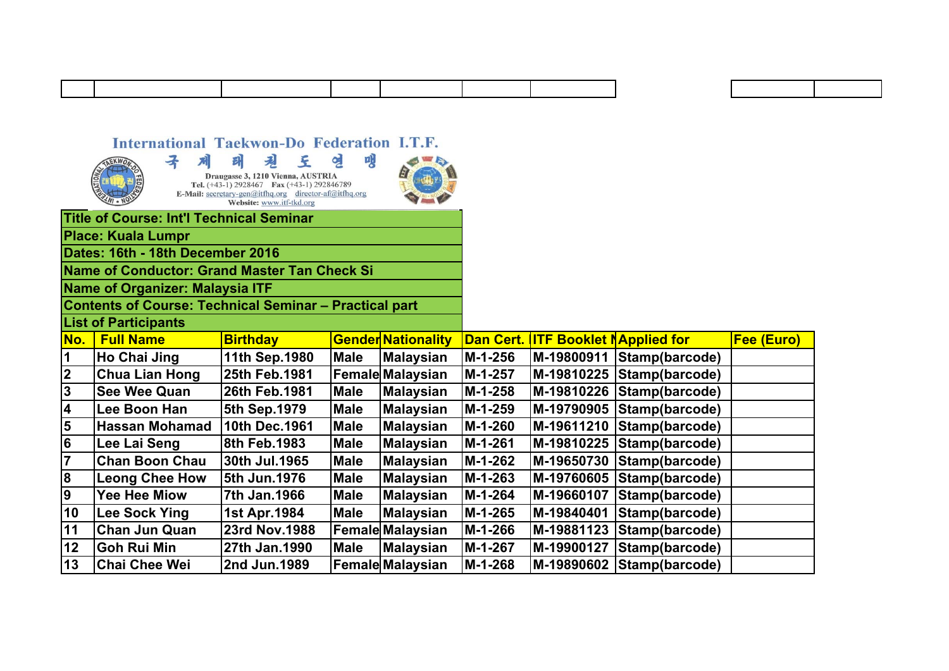## International Taekwon-Do Federation I.T.F.

 $\overline{13}$ 

**Chai Chee Wei** 

**Title of Course: Int'l Technical Seminar** 

엔 맹 子 네 태 見 至 Draugasse 3, 1210 Vienna, AUSTRIA<br>Tel. (+43-1) 2928467 Fax (+43-1) 292846789 E-Mail: secretary-gen@itfhq.org<br>Website: www.itf-tkd.org<br>Website: www.itf-tkd.org

2nd Jun.1989



|                                  | <b>Place: Kuala Lumpr</b>                                     |                 |             |                           |                  |                                 |                           |                  |
|----------------------------------|---------------------------------------------------------------|-----------------|-------------|---------------------------|------------------|---------------------------------|---------------------------|------------------|
| Dates: 16th - 18th December 2016 |                                                               |                 |             |                           |                  |                                 |                           |                  |
|                                  | Name of Conductor: Grand Master Tan Check Si                  |                 |             |                           |                  |                                 |                           |                  |
|                                  | <b>Name of Organizer: Malaysia ITF</b>                        |                 |             |                           |                  |                                 |                           |                  |
|                                  | <b>Contents of Course: Technical Seminar - Practical part</b> |                 |             |                           |                  |                                 |                           |                  |
|                                  | <b>List of Participants</b>                                   |                 |             |                           |                  |                                 |                           |                  |
| No.                              | <b>Full Name</b>                                              | <b>Birthday</b> |             | <b>Gender Nationality</b> | <b>Dan Cert.</b> | <b>ITF Booklet NApplied for</b> |                           | <b>Fee (Euro</b> |
| 1                                | Ho Chai Jing                                                  | 11th Sep.1980   | <b>Male</b> | <b>Malaysian</b>          | M-1-256          | M-19800911                      | Stamp(barcode)            |                  |
| $\boldsymbol{2}$                 | <b>Chua Lian Hong</b>                                         | 25th Feb.1981   |             | <b>Female Malaysian</b>   | M-1-257          |                                 | M-19810225 Stamp(barcode) |                  |
| $\mathbf 3$                      | <b>See Wee Quan</b>                                           | 26th Feb.1981   | <b>Male</b> | <b>Malaysian</b>          | M-1-258          | M-19810226                      | Stamp(barcode)            |                  |
| 4                                | Lee Boon Han                                                  | 5th Sep.1979    | <b>Male</b> | <b>Malaysian</b>          | M-1-259          |                                 | M-19790905 Stamp(barcode) |                  |
| 5                                | <b>Hassan Mohamad</b>                                         | 10th Dec.1961   | <b>Male</b> | <b>Malaysian</b>          | M-1-260          | M-19611210                      | Stamp(barcode)            |                  |
| $\bf 6$                          | Lee Lai Seng                                                  | 8th Feb.1983    | <b>Male</b> | <b>Malaysian</b>          | M-1-261          | M-19810225                      | Stamp(barcode)            |                  |
| $\overline{\mathbf{7}}$          | <b>Chan Boon Chau</b>                                         | 30th Jul.1965   | <b>Male</b> | <b>Malaysian</b>          | M-1-262          | M-19650730                      | Stamp(barcode)            |                  |
| 8                                | <b>Leong Chee How</b>                                         | 5th Jun.1976    | <b>Male</b> | Malaysian                 | M-1-263          | M-19760605                      | Stamp(barcode)            |                  |
| 9                                | Yee Hee Miow                                                  | 7th Jan.1966    | <b>Male</b> | Malaysian                 | M-1-264          | M-19660107                      | Stamp(barcode)            |                  |
| 10                               | Lee Sock Ying                                                 | 1st Apr.1984    | <b>Male</b> | Malaysian                 | M-1-265          | M-19840401                      | Stamp(barcode)            |                  |
| 11                               | <b>Chan Jun Quan</b>                                          | 23rd Nov.1988   |             | <b>Female Malaysian</b>   | M-1-266          | M-19881123                      | Stamp(barcode)            |                  |
| 12                               | <b>Goh Rui Min</b>                                            | 27th Jan.1990   | Male        | <b>Malaysian</b>          | M-1-267          | M-19900127                      | Stamp(barcode)            |                  |

 $M-1-268$ 

M-19890602 Stamp(barcode)

**Female Malaysian**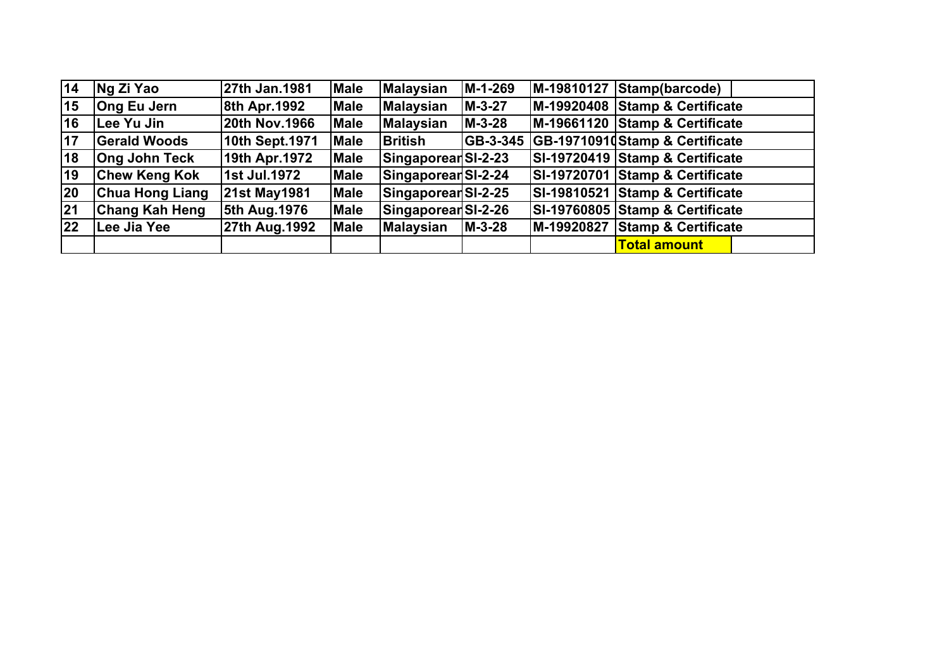| 14           | Ng Zi Yao              | 27th Jan.1981        | <b>Male</b> | <b>Malaysian</b>    | M-1-269  | $ M-19810127 Stamp(barcode) $   |
|--------------|------------------------|----------------------|-------------|---------------------|----------|---------------------------------|
| 15           | <b>Ong Eu Jern</b>     | 8th Apr. 1992        | <b>Male</b> | <b>Malaysian</b>    | $M-3-27$ | M-19920408 Stamp & Certificate  |
| 16           | Lee Yu Jin             | <b>20th Nov.1966</b> | <b>Male</b> | <b>Malaysian</b>    | $M-3-28$ | M-19661120 Stamp & Certificate  |
| 17           | <b>Gerald Woods</b>    | 10th Sept.1971       | <b>Male</b> | British             | GB-3-345 | GB-19710910Stamp & Certificate  |
| 18           | <b>Ong John Teck</b>   | 19th Apr.1972        | <b>Male</b> | SingaporearSI-2-23  |          | SI-19720419 Stamp & Certificate |
| 19           | <b>Chew Keng Kok</b>   | 1st Jul.1972         | <b>Male</b> | Singaporear SI-2-24 |          | SI-19720701 Stamp & Certificate |
| 20           | <b>Chua Hong Liang</b> | <b>21st May1981</b>  | <b>Male</b> | Singaporear SI-2-25 |          | SI-19810521 Stamp & Certificate |
| 21           | <b>Chang Kah Heng</b>  | 5th Aug. 1976        | <b>Male</b> | SingaporearSI-2-26  |          | SI-19760805 Stamp & Certificate |
| $ 22\rangle$ | Lee Jia Yee            | 27th Aug. 1992       | <b>Male</b> | <b>Malaysian</b>    | $M-3-28$ | M-19920827 Stamp & Certificate  |
|              |                        |                      |             |                     |          | <b>Total amount</b>             |